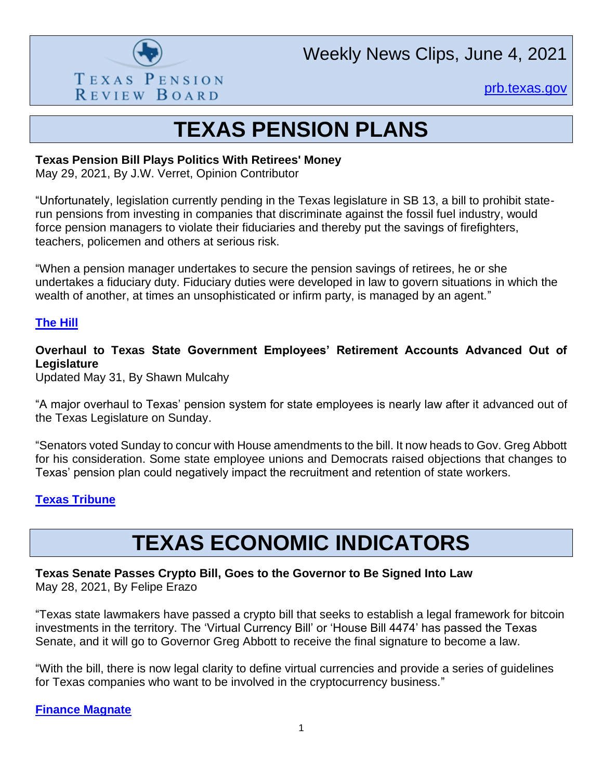

Weekly News Clips, June 4, 2021

[prb.texas.gov](http://www.prb.texas.gov/)

# **TEXAS PENSION PLANS**

#### **Texas Pension Bill Plays Politics With Retirees' Money**

May 29, 2021, By J.W. Verret, Opinion Contributor

"Unfortunately, legislation currently pending in the Texas legislature in SB 13, a bill to prohibit staterun pensions from investing in companies that discriminate against the fossil fuel industry, would force pension managers to violate their fiduciaries and thereby put the savings of firefighters, teachers, policemen and others at serious risk.

"When a pension manager undertakes to secure the pension savings of retirees, he or she undertakes a fiduciary duty. Fiduciary duties were developed in law to govern situations in which the wealth of another, at times an unsophisticated or infirm party, is managed by an agent."

#### **[The](https://thehill.com/opinion/finance/555980-texas-pension-bill-plays-politics-with-retirees-money?rl=1) Hill**

**Overhaul to Texas State Government Employees' Retirement Accounts Advanced Out of Legislature**

Updated May 31, By Shawn Mulcahy

"A major overhaul to Texas' pension system for state employees is nearly law after it advanced out of the Texas Legislature on Sunday.

"Senators voted Sunday to concur with House amendments to the bill. It now heads to Gov. Greg Abbott for his consideration. Some state employee unions and Democrats raised objections that changes to Texas' pension plan could negatively impact the recruitment and retention of state workers.

#### **[Texas Tribune](https://www.texastribune.org/2021/05/26/texas-government-employee-retirement-system/)**

# **TEXAS ECONOMIC INDICATORS**

**Texas Senate Passes Crypto Bill, Goes to the Governor to Be Signed Into Law** May 28, 2021, By Felipe Erazo

"Texas state lawmakers have passed a crypto bill that seeks to establish a legal framework for bitcoin investments in the territory. The 'Virtual Currency Bill' or 'House Bill 4474' has passed the Texas Senate, and it will go to Governor Greg Abbott to receive the final signature to become a law.

"With the bill, there is now legal clarity to define virtual currencies and provide a series of guidelines for Texas companies who want to be involved in the cryptocurrency business."

**[Finance Magnate](https://www.financemagnates.com/cryptocurrency/regulation/texas-senate-passes-crypto-bill-goes-to-the-governor-to-be-signed-into-law/)**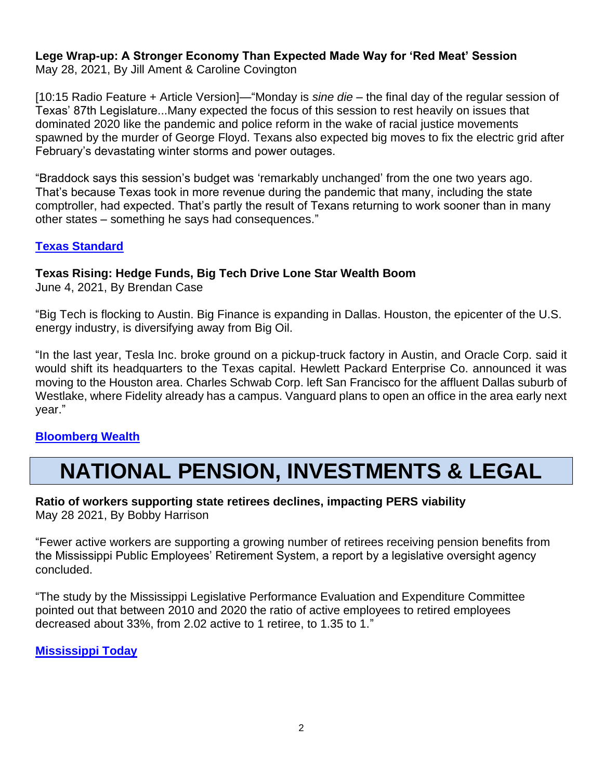#### **Lege Wrap-up: A Stronger Economy Than Expected Made Way for 'Red Meat' Session** May 28, 2021, By Jill Ament & Caroline Covington

[10:15 Radio Feature + Article Version]—"Monday is *sine die* – the final day of the regular session of Texas' 87th Legislature...Many expected the focus of this session to rest heavily on issues that dominated 2020 like the pandemic and police reform in the wake of racial justice movements spawned by the murder of George Floyd. Texans also expected big moves to fix the electric grid after February's devastating winter storms and power outages.

"Braddock says this session's budget was 'remarkably unchanged' from the one two years ago. That's because Texas took in more revenue during the pandemic that many, including the state comptroller, had expected. That's partly the result of Texans returning to work sooner than in many other states – something he says had consequences."

## **[Texas Standard](https://www.texasstandard.org/stories/lege-wrap-up-a-stronger-economy-than-expected-made-way-for-red-meat-session/)**

### **Texas Rising: Hedge Funds, Big Tech Drive Lone Star Wealth Boom**

June 4, 2021, By Brendan Case

"Big Tech is flocking to Austin. Big Finance is expanding in Dallas. Houston, the epicenter of the U.S. energy industry, is diversifying away from Big Oil.

"In the last year, Tesla Inc. broke ground on a pickup-truck factory in Austin, and Oracle Corp. said it would shift its headquarters to the Texas capital. Hewlett Packard Enterprise Co. announced it was moving to the Houston area. Charles Schwab Corp. left San Francisco for the affluent Dallas suburb of Westlake, where Fidelity already has a campus. Vanguard plans to open an office in the area early next year."

### **[Bloomberg Wealth](https://www.bloomberg.com/news/articles/2021-06-04/texas-rising-hedge-funds-big-tech-drive-lone-star-wealth-boom)**

# **NATIONAL PENSION, INVESTMENTS & LEGAL**

# **Ratio of workers supporting state retirees declines, impacting PERS viability**

May 28 2021, By Bobby Harrison

"Fewer active workers are supporting a growing number of retirees receiving pension benefits from the Mississippi Public Employees' Retirement System, a report by a legislative oversight agency concluded.

"The study by the Mississippi Legislative Performance Evaluation and Expenditure Committee pointed out that between 2010 and 2020 the ratio of active employees to retired employees decreased about 33%, from 2.02 active to 1 retiree, to 1.35 to 1."

**[Mississippi Today](https://mississippitoday.org/2021/05/28/ratio-of-workers-supporting-state-retirees-declines-impacting-public-employees-retirement-system-viability-2021/)**